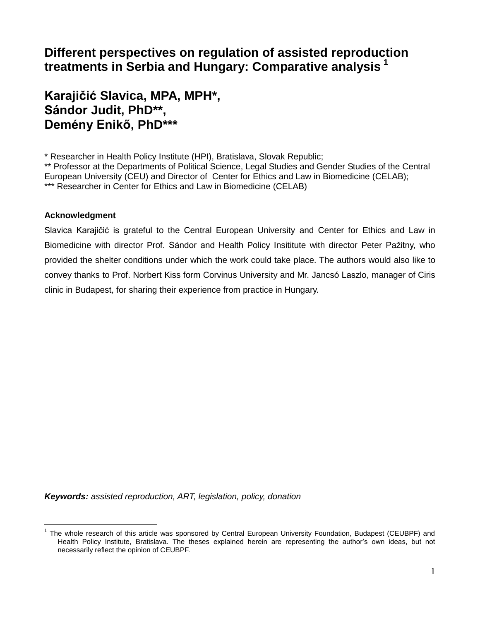# **Different perspectives on regulation of assisted reproduction treatments in Serbia and Hungary: Comparative analysis <sup>1</sup>**

# **Karajičić Slavica, MPA, MPH\*, Sándor Judit, PhD\*\*, Demény Enikő, PhD\*\*\***

\* Researcher in Health Policy Institute (HPI), Bratislava, Slovak Republic;

\*\* Professor at the Departments of Political Science, Legal Studies and Gender Studies of the Central European University (CEU) and Director of Center for Ethics and Law in Biomedicine (CELAB); \*\*\* Researcher in Center for Ethics and Law in Biomedicine (CELAB)

#### **Acknowledgment**

 $\overline{a}$ 

Slavica Karajičić is grateful to the Central European University and Center for Ethics and Law in Biomedicine with director Prof. Sándor and Health Policy Insititute with director Peter Pažitny, who provided the shelter conditions under which the work could take place. The authors would also like to convey thanks to Prof. Norbert Kiss form Corvinus University and Mr. Jancsó Laszlo, manager of Ciris clinic in Budapest, for sharing their experience from practice in Hungary.

*Keywords: assisted reproduction, ART, legislation, policy, donation* 

<sup>&</sup>lt;sup>1</sup> The whole research of this article was sponsored by Central European University Foundation, Budapest (CEUBPF) and Health Policy Institute, Bratislava. The theses explained herein are representing the author's own ideas, but not necessarily reflect the opinion of CEUBPF.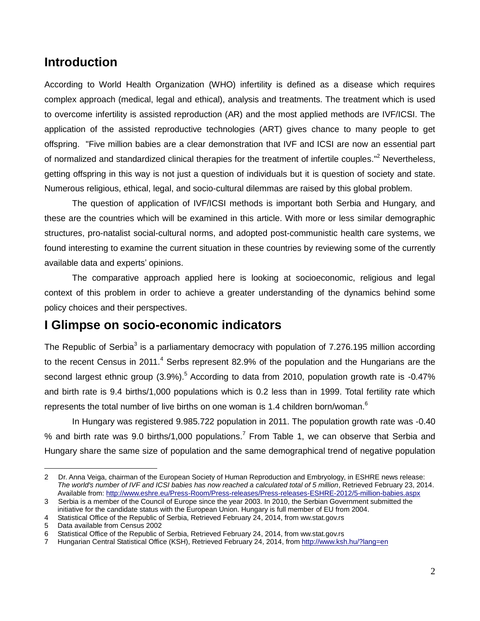## **Introduction**

According to World Health Organization (WHO) infertility is defined as a disease which requires complex approach (medical, legal and ethical), analysis and treatments. The treatment which is used to overcome infertility is assisted reproduction (AR) and the most applied methods are IVF/ICSI. The application of the assisted reproductive technologies (ART) gives chance to many people to get offspring. "Five million babies are a clear demonstration that IVF and ICSI are now an essential part of normalized and standardized clinical therapies for the treatment of infertile couples."<sup>2</sup> Nevertheless, getting offspring in this way is not just a question of individuals but it is question of society and state. Numerous religious, ethical, legal, and socio-cultural dilemmas are raised by this global problem.

The question of application of IVF/ICSI methods is important both Serbia and Hungary, and these are the countries which will be examined in this article. With more or less similar demographic structures, pro-natalist social-cultural norms, and adopted post-communistic health care systems, we found interesting to examine the current situation in these countries by reviewing some of the currently available data and experts' opinions.

The comparative approach applied here is looking at socioeconomic, religious and legal context of this problem in order to achieve a greater understanding of the dynamics behind some policy choices and their perspectives.

## **I Glimpse on socio-economic indicators**

The Republic of Serbia<sup>3</sup> is a parliamentary democracy with population of 7.276.195 million according to the recent Census in 2011.<sup>4</sup> Serbs represent 82.9% of the population and the Hungarians are the second largest ethnic group  $(3.9\%)$ <sup>5</sup> According to data from 2010, population growth rate is -0.47% and birth rate is 9.4 births/1,000 populations which is 0.2 less than in 1999. Total fertility rate which represents the total number of live births on one woman is 1.4 children born/woman. $6$ 

In Hungary was registered 9.985.722 population in 2011. The population growth rate was -0.40 % and birth rate was 9.0 births/1,000 populations.<sup>7</sup> From Table 1, we can observe that Serbia and Hungary share the same size of population and the same demographical trend of negative population

<sup>2</sup> Dr. Anna Veiga, chairman of the European Society of Human Reproduction and Embryology, in ESHRE news release: *The world's number of IVF and ICSI babies has now reached a calculated total of 5 million*, Retrieved February 23, 2014. Available from: <http://www.eshre.eu/Press-Room/Press-releases/Press-releases-ESHRE-2012/5-million-babies.aspx>

<sup>3</sup> Serbia is a member of the Council of Europe since the year 2003. In 2010, the Serbian Government submitted the initiative for the candidate status with the European Union. Hungary is full member of EU from 2004.

<sup>4</sup> Statistical Office of the Republic of Serbia, Retrieved February 24, 2014, from ww.stat.gov.rs

<sup>5</sup> Data available from Census 2002

<sup>6</sup> Statistical Office of the Republic of Serbia, Retrieved February 24, 2014, from ww.stat.gov.rs

<sup>7</sup> Hungarian Central Statistical Office (KSH), Retrieved February 24, 2014, from<http://www.ksh.hu/?lang=en>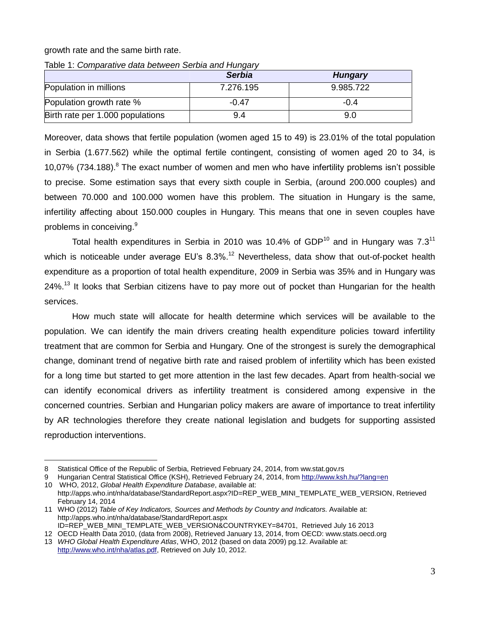#### growth rate and the same birth rate.

| <u>iault I. Cumparative data between Jenuid and Hungary</u> |               |                |  |  |  |
|-------------------------------------------------------------|---------------|----------------|--|--|--|
|                                                             | <b>Serbia</b> | <b>Hungary</b> |  |  |  |
| Population in millions                                      | 7.276.195     | 9.985.722      |  |  |  |
| Population growth rate %                                    | $-0.47$       | $-0.4$         |  |  |  |
| Birth rate per 1.000 populations                            | 9.4           | 9.0            |  |  |  |

Table 1: *Comparative data between Serbia and Hungary*

Moreover, data shows that fertile population (women aged 15 to 49) is 23.01% of the total population in Serbia (1.677.562) while the optimal fertile contingent, consisting of women aged 20 to 34, is 10.07% (734.188). $8$  The exact number of women and men who have infertility problems isn't possible to precise. Some estimation says that every sixth couple in Serbia, (around 200.000 couples) and between 70.000 and 100.000 women have this problem. The situation in Hungary is the same, infertility affecting about 150.000 couples in Hungary. This means that one in seven couples have problems in conceiving.<sup>9</sup>

Total health expenditures in Serbia in 2010 was 10.4% of GDP<sup>10</sup> and in Hungary was  $7.3<sup>11</sup>$ which is noticeable under average EU's  $8.3\%$ <sup>12</sup> Nevertheless, data show that out-of-pocket health expenditure as a proportion of total health expenditure, 2009 in Serbia was 35% and in Hungary was 24%.<sup>13</sup> It looks that Serbian citizens have to pay more out of pocket than Hungarian for the health services.

How much state will allocate for health determine which services will be available to the population. We can identify the main drivers creating health expenditure policies toward infertility treatment that are common for Serbia and Hungary. One of the strongest is surely the demographical change, dominant trend of negative birth rate and raised problem of infertility which has been existed for a long time but started to get more attention in the last few decades. Apart from health-social we can identify economical drivers as infertility treatment is considered among expensive in the concerned countries. Serbian and Hungarian policy makers are aware of importance to treat infertility by AR technologies therefore they create national legislation and budgets for supporting assisted reproduction interventions.

9 Hungarian Central Statistical Office (KSH), Retrieved February 24, 2014, from<http://www.ksh.hu/?lang=en>

<sup>8</sup> Statistical Office of the Republic of Serbia, Retrieved February 24, 2014, from ww.stat.gov.rs

<sup>10</sup> WHO, 2012, *Global Health Expenditure Database*, available at:

[http://apps.who.int/nha/database/StandardReport.aspx?ID=REP\\_WEB\\_MINI\\_TEMPLATE\\_WEB\\_VERSION,](http://apps.who.int/nha/database/StandardReport.aspx?ID=REP_WEB_MINI_TEMPLATE_WEB_VERSION) Retrieved February 14, 2014

<sup>11</sup> WHO (2012) *Table of Key Indicators, Sources and Methods by Country and Indicators.* Available at: http://apps.who.int/nha/database/StandardReport.aspx ID=REP\_WEB\_MINI\_TEMPLATE\_WEB\_VERSION&COUNTRYKEY=84701, Retrieved July 16 2013

<sup>12</sup> OECD Health Data 2010, (data from 2008), Retrieved January 13, 2014, from OECD: www.stats.oecd.org 13 *WHO Global Health Expenditure Atlas*, WHO, 2012 (based on data 2009) pg.12. Available at:

[http://www.who.int/nha/atlas.pdf,](http://www.who.int/nha/atlas.pdf) Retrieved on July 10, 2012.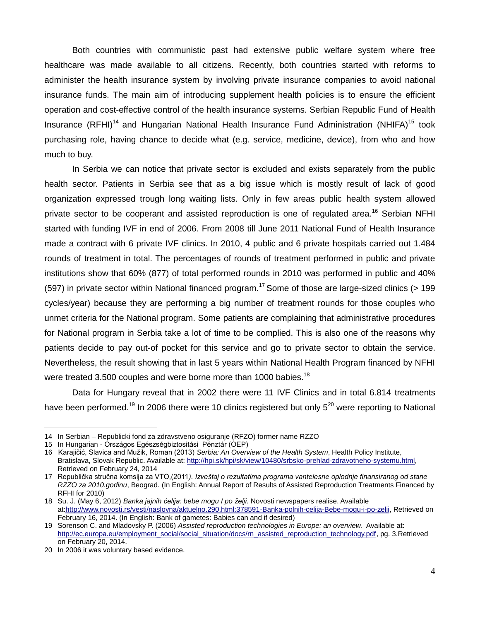Both countries with communistic past had extensive public welfare system where free healthcare was made available to all citizens. Recently, both countries started with reforms to administer the health insurance system by involving private insurance companies to avoid national insurance funds. The main aim of introducing supplement health policies is to ensure the efficient operation and cost-effective control of the health insurance systems. Serbian Republic Fund of Health Insurance  $(RFHI)^{14}$  and Hungarian National Health Insurance Fund Administration (NHIFA)<sup>15</sup> took purchasing role, having chance to decide what (e.g. service, medicine, device), from who and how much to buy.

In Serbia we can notice that private sector is excluded and exists separately from the public health sector. Patients in Serbia see that as a big issue which is mostly result of lack of good organization expressed trough long waiting lists. Only in few areas public health system allowed private sector to be cooperant and assisted reproduction is one of regulated area.<sup>16</sup> Serbian NFHI started with funding IVF in end of 2006. From 2008 till June 2011 National Fund of Health Insurance made a contract with 6 private IVF clinics. In 2010, 4 public and 6 private hospitals carried out 1.484 rounds of treatment in total. The percentages of rounds of treatment performed in public and private institutions show that 60% (877) of total performed rounds in 2010 was performed in public and 40% (597) in private sector within National financed program.<sup>17</sup> Some of those are large-sized clinics (> 199) cycles/year) because they are performing a big number of treatment rounds for those couples who unmet criteria for the National program. Some patients are complaining that administrative procedures for National program in Serbia take a lot of time to be complied. This is also one of the reasons why patients decide to pay out-of pocket for this service and go to private sector to obtain the service. Nevertheless, the result showing that in last 5 years within National Health Program financed by NFHI were treated 3.500 couples and were borne more than 1000 babies.<sup>18</sup>

Data for Hungary reveal that in 2002 there were 11 IVF Clinics and in total 6.814 treatments have been performed.<sup>19</sup> In 2006 there were 10 clinics registered but only  $5^{20}$  were reporting to National

<sup>14</sup> In Serbian – Republicki fond za zdravstveno osiguranje (RFZO) former name RZZO

<sup>15</sup> In Hungarian - Országos Egészségbiztositási Pénztár (OEP)

<sup>16</sup> Karajičić, Slavica and Mužik, Roman (2013) *Serbia: An Overview of the Health System*, Health Policy Institute, Bratislava, Slovak Republic. Available at[: http://hpi.sk/hpi/sk/view/10480/srbsko-prehlad-zdravotneho-systemu.html,](http://hpi.sk/hpi/sk/view/10480/srbsko-prehlad-zdravotneho-systemu.html) Retrieved on February 24, 2014

<sup>17</sup> Republička stručna komsija za VTO,(2011*). Izveštaj o rezultatima programa vantelesne oplodnje finansiranog od stane RZZO za 2010.godinu*, Beograd. (In English: Annual Report of Results of Assisted Reproduction Treatments Financed by RFHI for 2010)

<sup>18</sup> Su. J. (May 6, 2012) *Banka jajnih ćelija: bebe mogu I po želji.* Novosti newspapers realise. Available a[t:http://www.novosti.rs/vesti/naslovna/aktuelno.290.html:378591-Banka-polnih-celija-Bebe-mogu-i-po-zelji,](http://www.novosti.rs/vesti/naslovna/aktuelno.290.html:378591-Banka-polnih-celija-Bebe-mogu-i-po-zelji) Retrieved on February 16, 2014. (In English: Bank of gametes: Babies can and if desired)

<sup>19</sup> Sorenson C. and Mladovsky P. (2006) *Assisted reproduction technologies in Europe: an overview.* Available at: [http://ec.europa.eu/employment\\_social/social\\_situation/docs/rn\\_assisted\\_reproduction\\_technology.pdf,](http://ec.europa.eu/employment_social/social_situation/docs/rn_assisted_reproduction_technology.pdf) pg. 3.Retrieved on February 20, 2014.

<sup>20</sup> In 2006 it was voluntary based evidence.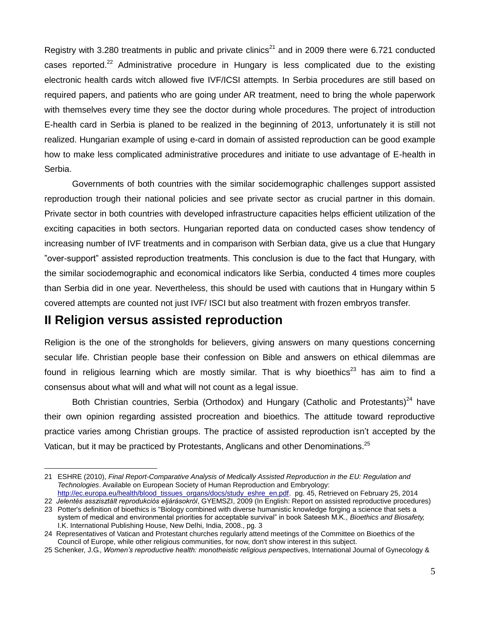Registry with 3.280 treatments in public and private clinics<sup>21</sup> and in 2009 there were 6.721 conducted cases reported.<sup>22</sup> Administrative procedure in Hungary is less complicated due to the existing electronic health cards witch allowed five IVF/ICSI attempts. In Serbia procedures are still based on required papers, and patients who are going under AR treatment, need to bring the whole paperwork with themselves every time they see the doctor during whole procedures. The project of introduction E-health card in Serbia is planed to be realized in the beginning of 2013, unfortunately it is still not realized. Hungarian example of using e-card in domain of assisted reproduction can be good example how to make less complicated administrative procedures and initiate to use advantage of E-health in Serbia.

Governments of both countries with the similar socidemographic challenges support assisted reproduction trough their national policies and see private sector as crucial partner in this domain. Private sector in both countries with developed infrastructure capacities helps efficient utilization of the exciting capacities in both sectors. Hungarian reported data on conducted cases show tendency of increasing number of IVF treatments and in comparison with Serbian data, give us a clue that Hungary "over-support" assisted reproduction treatments. This conclusion is due to the fact that Hungary, with the similar sociodemographic and economical indicators like Serbia, conducted 4 times more couples than Serbia did in one year. Nevertheless, this should be used with cautions that in Hungary within 5 covered attempts are counted not just IVF/ ISCI but also treatment with frozen embryos transfer.

#### **II Religion versus assisted reproduction**

 $\overline{a}$ 

Religion is the one of the strongholds for believers, giving answers on many questions concerning secular life. Christian people base their confession on Bible and answers on ethical dilemmas are found in religious learning which are mostly similar. That is why bioethics<sup>23</sup> has aim to find a consensus about what will and what will not count as a legal issue.

Both Christian countries, Serbia (Orthodox) and Hungary (Catholic and Protestants)<sup>24</sup> have their own opinion regarding assisted procreation and bioethics. The attitude toward reproductive practice varies among Christian groups. The practice of assisted reproduction isn't accepted by the Vatican, but it may be practiced by Protestants, Anglicans and other Denominations.<sup>25</sup>

<sup>21</sup> ESHRE (2010), *Final Report-Comparative Analysis of Medically Assisted Reproduction in the EU: Regulation and Technologies*. Available on European Society of Human Reproduction and Embryology: [http://ec.europa.eu/health/blood\\_tissues\\_organs/docs/study\\_eshre\\_en.pdf.](http://ec.europa.eu/health/blood_tissues_organs/docs/study_eshre_en.pdf) pg. 45, Retrieved on February 25, 2014

<sup>22</sup> *Jelentés asszisztált reprodukciós eljárásokról*, GYEMSZI, 2009 (In English: Report on assisted reproductive procedures)

<sup>23</sup> Potter's definition of bioethics is "Biology combined with diverse humanistic knowledge forging a science that sets a system of medical and environmental priorities for acceptable survival" in book Sateesh M.K., *Bioethics and Biosafety,*  I.K. International Publishing House, New Delhi, India, 2008., pg. 3

<sup>24</sup> Representatives of Vatican and Protestant churches regularly attend meetings of the Committee on Bioethics of the Council of Europe, while other religious communities, for now, don't show interest in this subject.

<sup>25</sup> Schenker, J.G., *Women's reproductive health: monotheistic religious perspective*s, International Journal of Gynecology &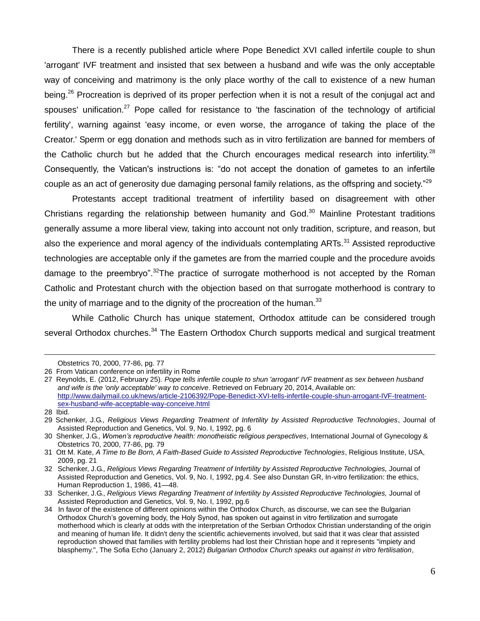There is a recently published article where Pope Benedict XVI called infertile couple to shun 'arrogant' IVF treatment and insisted that sex between a husband and wife was the only acceptable way of conceiving and matrimony is the only place worthy of the call to existence of a new human being.<sup>26</sup> Procreation is deprived of its proper perfection when it is not a result of the conjugal act and spouses' unification.<sup>27</sup> Pope called for resistance to 'the fascination of the technology of artificial fertility', warning against 'easy income, or even worse, the arrogance of taking the place of the Creator.' Sperm or egg donation and methods such as in vitro fertilization are banned for members of the Catholic church but he added that the Church encourages medical research into infertility.<sup>28</sup> Consequently, the Vatican's instructions is: "do not accept the donation of gametes to an infertile couple as an act of generosity due damaging personal family relations, as the offspring and society."<sup>29</sup>

Protestants accept traditional treatment of infertility based on disagreement with other Christians regarding the relationship between humanity and God.<sup>30</sup> Mainline Protestant traditions generally assume a more liberal view, taking into account not only tradition, scripture, and reason, but also the experience and moral agency of the individuals contemplating  $ARTs$ <sup>31</sup> Assisted reproductive technologies are acceptable only if the gametes are from the married couple and the procedure avoids damage to the preembryo".<sup>32</sup>The practice of surrogate motherhood is not accepted by the Roman Catholic and Protestant church with the objection based on that surrogate motherhood is contrary to the unity of marriage and to the dignity of the procreation of the human.<sup>33</sup>

While Catholic Church has unique statement, Orthodox attitude can be considered trough several Orthodox churches.<sup>34</sup> The Eastern Orthodox Church supports medical and surgical treatment

Obstetrics 70, 2000, 77-86, pg. 77

<sup>26</sup> From Vatican conference on infertility in Rome

<sup>27</sup> Reynolds, E. (2012, February 25). *Pope tells infertile couple to shun 'arrogant' IVF treatment as sex between husband and wife is the 'only acceptable' way to conceive*. Retrieved on February 20, 2014, Available on: [http://www.dailymail.co.uk/news/article-2106392/Pope-Benedict-XVI-tells-infertile-couple-shun-arrogant-IVF-treatment](http://www.dailymail.co.uk/news/article-2106392/Pope-Benedict-XVI-tells-infertile-couple-shun-arrogant-IVF-treatment-sex-husband-wife-acceptable-way-conceive.html)[sex-husband-wife-acceptable-way-conceive.html](http://www.dailymail.co.uk/news/article-2106392/Pope-Benedict-XVI-tells-infertile-couple-shun-arrogant-IVF-treatment-sex-husband-wife-acceptable-way-conceive.html)

<sup>28</sup> Ibid.

<sup>29</sup> Schenker, J.G., *Religious Views Regarding Treatment of Infertility by Assisted Reproductive Technologies*, Journal of Assisted Reproduction and Genetics, Vol. 9, No. I, 1992, pg. 6

<sup>30</sup> Shenker, J.G., *Women's reproductive health: monotheistic religious perspectives*, International Journal of Gynecology & Obstetrics 70, 2000, 77-86, pg. 79

<sup>31</sup> Ott M. Kate, *A Time to Be Born, A Faith-Based Guide to Assisted Reproductive Technologies*, Religious Institute, USA, 2009, pg. 21

<sup>32</sup> Schenker, J.G., *Religious Views Regarding Treatment of Infertility by Assisted Reproductive Technologies,* Journal of Assisted Reproduction and Genetics, Vol. 9, No. I, 1992, pg.4. See also Dunstan GR, In-vitro fertilization: the ethics, Human Reproduction 1, 1986, 41—48.

<sup>33</sup> Schenker, J.G., *Religious Views Regarding Treatment of Infertility by Assisted Reproductive Technologies,* Journal of Assisted Reproduction and Genetics, Vol. 9, No. I, 1992, pg.6

<sup>34</sup> In favor of the existence of different opinions within the Orthodox Church, as discourse, we can see the Bulgarian Orthodox Church's governing body, the Holy Synod, has spoken out against in vitro fertilization and surrogate motherhood which is clearly at odds with the interpretation of the Serbian Orthodox Christian understanding of the origin and meaning of human life. It didn't deny the scientific achievements involved, but said that it was clear that assisted reproduction showed that families with fertility problems had lost their Christian hope and it represents "impiety and blasphemy.", The Sofia Echo (January 2, 2012) *Bulgarian Orthodox Church speaks out against in vitro fertilisation*,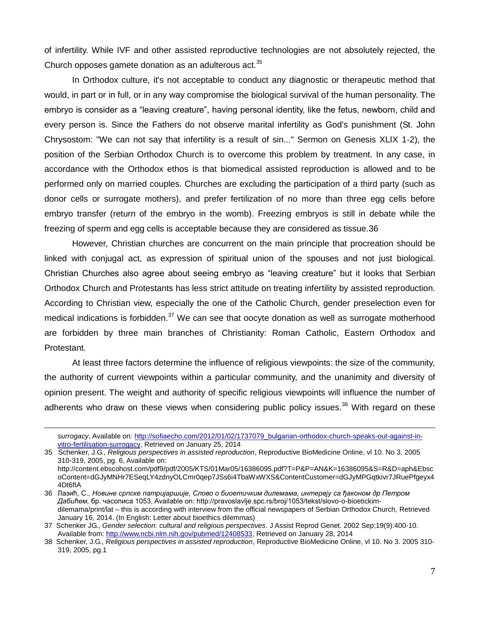of infertility. While IVF and other assisted reproductive technologies are not absolutely rejected, the Church opposes gamete donation as an adulterous  $act.^{35}$ 

In Orthodox culture, it's not acceptable to conduct any diagnostic or therapeutic method that would, in part or in full, or in any way compromise the biological survival of the human personality. The embryo is consider as a "leaving creature", having personal identity, like the fetus, newborn, child and every person is. Since the Fathers do not observe marital infertility as God's punishment (St. John Chrysostom: "We can not say that infertility is a result of sin..." Sermon on Genesis XLIX 1-2), the position of the Serbian Orthodox Church is to overcome this problem by treatment. In any case, in accordance with the Orthodox ethos is that biomedical assisted reproduction is allowed and to be performed only on married couples. Churches are excluding the participation of a third party (such as donor cells or surrogate mothers), and prefer fertilization of no more than three egg cells before embryo transfer (return of the embryo in the womb). Freezing embryos is still in debate while the freezing of sperm and egg cells is acceptable because they are considered as tissue.36

However, Christian churches are concurrent on the main principle that procreation should be linked with conjugal act, as expression of spiritual union of the spouses and not just biological. Christian Churches also agree about seeing embryo as "leaving creature" but it looks that Serbian Orthodox Church and Protestants has less strict attitude on treating infertility by assisted reproduction. According to Christian view, especially the one of the Catholic Church, gender preselection even for medical indications is forbidden. $37$  We can see that oocyte donation as well as surrogate motherhood are forbidden by three main branches of Christianity: Roman Catholic, Eastern Orthodox and Protestant.

At least three factors determine the influence of religious viewpoints: the size of the community, the authority of current viewpoints within a particular community, and the unanimity and diversity of opinion present. The weight and authority of specific religious viewpoints will influence the number of adherents who draw on these views when considering public policy issues.<sup>38</sup> With regard on these

*surrogacy*, Available on: [http://sofiaecho.com/2012/01/02/1737079\\_bulgarian-orthodox-church-speaks-out-against-in](http://sofiaecho.com/2012/01/02/1737079_bulgarian-orthodox-church-speaks-out-against-in-vitro-fertilisation-surrogacy)[vitro-fertilisation-surrogacy,](http://sofiaecho.com/2012/01/02/1737079_bulgarian-orthodox-church-speaks-out-against-in-vitro-fertilisation-surrogacy) Retrieved on January 25, 2014

<sup>35</sup> Schenker, J.G., *Religious perspectives in assisted reproduction*, Reproductive BioMedicine Online, vl 10. No 3. 2005 310-319, 2005, pg. 6, Available on: http://content.ebscohost.com/pdf9/pdf/2005/KTS/01Mar05/16386095.pdf?T=P&P=AN&K=16386095&S=R&D=aph&Ebsc oContent=dGJyMNHr7ESeqLY4zdnyOLCmr0qep7JSs6i4TbaWxWXS&ContentCustomer=dGJyMPGqtkivr7JRuePfgeyx4 4Dt6fIA

<sup>36</sup> Лазић, С., *Новине српске патријаршије, Слово о биоетичким дилемама, интервју са ђаконом др Петром Дабићем*, бр. часописа 1053, Available on: http://pravoslavlje.spc.rs/broj/1053/tekst/slovo-o-bioetickimdilemama/print/lat – this is according with interview from the official newspapers of Serbian Orthodox Church, Retrieved January 16, 2014. (In English: Letter about bioethics dilemmas)

<sup>37</sup> Schenker JG., *Gender selection: cultural and religious perspectives*. J Assist Reprod Genet. 2002 Sep;19(9):400-10. Available from[: http://www.ncbi.nlm.nih.gov/pubmed/12408533,](http://www.ncbi.nlm.nih.gov/pubmed/12408533) Retrieved on January 28, 2014

<sup>38</sup> Schenker, J.G., *Religious perspectives in assisted reproduction*, Reproductive BioMedicine Online, vl 10. No 3. 2005 310- 319, 2005, pg.1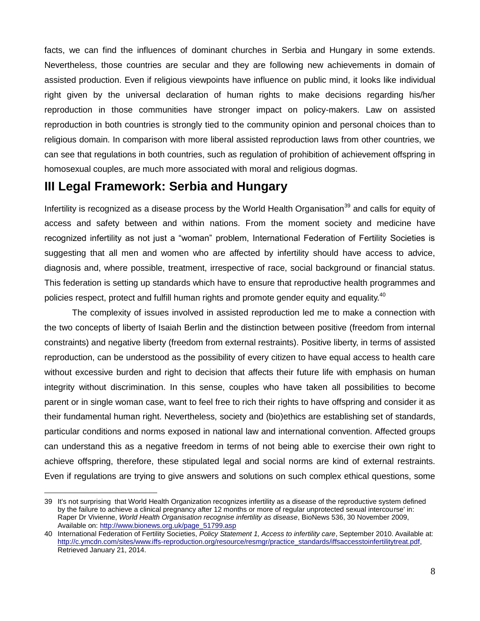facts, we can find the influences of dominant churches in Serbia and Hungary in some extends. Nevertheless, those countries are secular and they are following new achievements in domain of assisted production. Even if religious viewpoints have influence on public mind, it looks like individual right given by the universal declaration of human rights to make decisions regarding his/her reproduction in those communities have stronger impact on policy-makers. Law on assisted reproduction in both countries is strongly tied to the community opinion and personal choices than to religious domain. In comparison with more liberal assisted reproduction laws from other countries, we can see that regulations in both countries, such as regulation of prohibition of achievement offspring in homosexual couples, are much more associated with moral and religious dogmas.

#### **III Legal Framework: Serbia and Hungary**

 $\overline{a}$ 

Infertility is recognized as a disease process by the World Health Organisation<sup>39</sup> and calls for equity of access and safety between and within nations. From the moment society and medicine have recognized infertility as not just a "woman" problem, International Federation of Fertility Societies is suggesting that all men and women who are affected by infertility should have access to advice, diagnosis and, where possible, treatment, irrespective of race, social background or financial status. This federation is setting up standards which have to ensure that reproductive health programmes and policies respect, protect and fulfill human rights and promote gender equity and equality.<sup>40</sup>

The complexity of issues involved in assisted reproduction led me to make a connection with the two concepts of liberty of Isaiah Berlin and the distinction between positive (freedom from internal constraints) and negative liberty (freedom from external restraints). Positive liberty, in terms of assisted reproduction, can be understood as the possibility of every citizen to have equal access to health care without excessive burden and right to decision that affects their future life with emphasis on human integrity without discrimination. In this sense, couples who have taken all possibilities to become parent or in single woman case, want to feel free to rich their rights to have offspring and consider it as their fundamental human right. Nevertheless, society and (bio)ethics are establishing set of standards, particular conditions and norms exposed in national law and international convention. Affected groups can understand this as a negative freedom in terms of not being able to exercise their own right to achieve offspring, therefore, these stipulated legal and social norms are kind of external restraints. Even if regulations are trying to give answers and solutions on such complex ethical questions, some

<sup>39</sup> It's not surprising that World Health Organization recognizes infertility as a disease of the reproductive system defined by the failure to achieve a clinical pregnancy after 12 months or more of regular unprotected sexual intercourse' in: Raper Dr Vivienne, *World Health Organisation recognise infertility as disease*, BioNews 536, 30 November 2009, Available on: [http://www.bionews.org.uk/page\\_51799.asp](http://www.bionews.org.uk/page_51799.asp)

<sup>40</sup> International Federation of Fertility Societies, *Policy Statement 1, Access to infertility care*, September 2010. Available at: [http://c.ymcdn.com/sites/www.iffs-reproduction.org/resource/resmgr/practice\\_standards/iffsaccesstoinfertilitytreat.pdf,](http://c.ymcdn.com/sites/www.iffs-reproduction.org/resource/resmgr/practice_standards/iffsaccesstoinfertilitytreat.pdf) Retrieved January 21, 2014.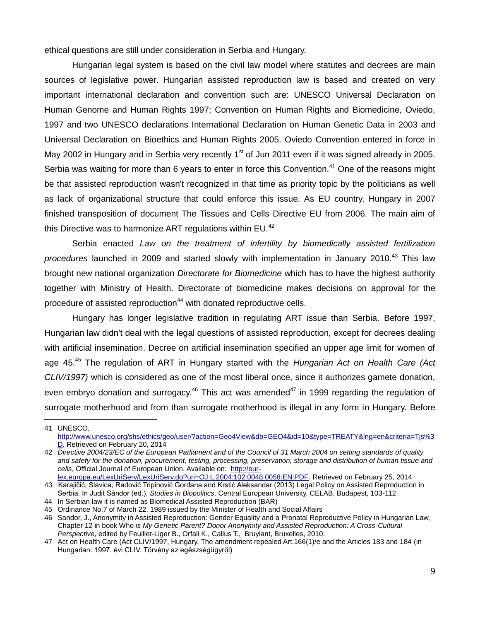ethical questions are still under consideration in Serbia and Hungary.

Hungarian legal system is based on the civil law model where statutes and decrees are main sources of legislative power. Hungarian assisted reproduction law is based and created on very important international declaration and convention such are: UNESCO Universal Declaration on Human Genome and Human Rights 1997; Convention on Human Rights and Biomedicine, Oviedo, 1997 and two UNESCO declarations International Declaration on Human Genetic Data in 2003 and Universal Declaration on Bioethics and Human Rights 2005. Oviedo Convention entered in force in May 2002 in Hungary and in Serbia very recently  $1<sup>st</sup>$  of Jun 2011 even if it was signed already in 2005. Serbia was waiting for more than 6 years to enter in force this Convention.<sup>41</sup> One of the reasons might be that assisted reproduction wasn't recognized in that time as priority topic by the politicians as well as lack of organizational structure that could enforce this issue. As EU country, Hungary in 2007 finished transposition of document The Tissues and Cells Directive EU from 2006. The main aim of this Directive was to harmonize ART regulations within EU.<sup>42</sup>

Serbia enacted *Law on the treatment of infertility by biomedically assisted fertilization procedures* launched in 2009 and started slowly with implementation in January 2010.<sup>43</sup> This law brought new national organization *Directorate for Biomedicine* which has to have the highest authority together with Ministry of Health. Directorate of biomedicine makes decisions on approval for the procedure of assisted reproduction<sup>44</sup> with donated reproductive cells.

Hungary has longer legislative tradition in regulating ART issue than Serbia. Before 1997, Hungarian law didn't deal with the legal questions of assisted reproduction, except for decrees dealing with artificial insemination. Decree on artificial insemination specified an upper age limit for women of age 45.<sup>45</sup> The regulation of ART in Hungary started with the *Hungarian Act on Health Care (Act CLIV/1997)* which is considered as one of the most liberal once, since it authorizes gamete donation, even embryo donation and surrogacy.<sup>46</sup> This act was amended<sup>47</sup> in 1999 regarding the regulation of surrogate motherhood and from than surrogate motherhood is illegal in any form in Hungary. Before

<sup>41</sup> UNESCO, [http://www.unesco.org/shs/ethics/geo/user/?action=Geo4View&db=GEO4&id=10&type=TREATY&lng=en&criteria=Tjs%3](http://www.unesco.org/shs/ethics/geo/user/?action=Geo4View&db=GEO4&id=10&type=TREATY&lng=en&criteria=Tjs%3D) [D.](http://www.unesco.org/shs/ethics/geo/user/?action=Geo4View&db=GEO4&id=10&type=TREATY&lng=en&criteria=Tjs%3D) Retrieved on February 20, 2014

<sup>42</sup> *Directive 2004/23/EC of the European Parliament and of the Council of 31 March 2004 on setting standards of quality and safety for the donation, procurement, testing, processing, preservation, storage and distribution of human tissue and cells*, Official Journal of European Union. Available on: [http://eur-](http://eur-lex.europa.eu/LexUriServ/LexUriServ.do?uri=OJ:L:2004:102:0048:0058:EN:PDF)

[lex.europa.eu/LexUriServ/LexUriServ.do?uri=OJ:L:2004:102:0048:0058:EN:PDF.](http://eur-lex.europa.eu/LexUriServ/LexUriServ.do?uri=OJ:L:2004:102:0048:0058:EN:PDF) Retrieved on February 25, 2014

<sup>43</sup> Karajičić, Slavica; Radović Tripinović Gordana and Krstić Aleksandar (2013) Legal Policy on Assisted Reproduction in Serbia. In Judit Sándor (ed.), *Studies in Biopolitics*. Central European University, CELAB, Budapest, 103-112 44 In Serbian law it is named as Biomedical Assisted Reproduction (BAR)

<sup>45</sup> Ordinance No.7 of March 22, 1989 issued by the Minister of Health and Social Affairs

<sup>46</sup> Sandor, J., Anonymity in Assisted Reproduction: Gender Equality and a Pronatal Reproductive Policy in Hungarian Law, Chapter 12 in book Who *is My Genetic Parent? Donor Anonymity and Assisted Reproduction: A Cross-Cultural Perspective*, edited by Feuillet-Liger B., Orfali K., Callus T., Bruylant, Bruxelles, 2010.

<sup>47</sup> Act on Health Care (Act CLIV/1997, Hungary. The amendment repealed Art.166(1)/e and the Articles 183 and 184 (in Hungarian: 1997. évi CLIV. Törvény az egészségügyről)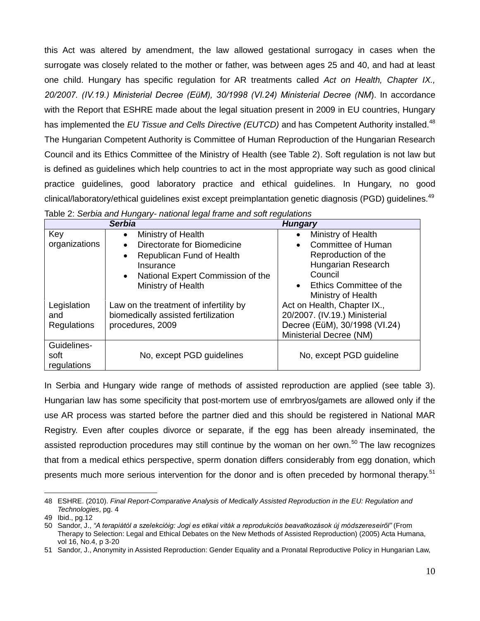this Act was altered by amendment, the law allowed gestational surrogacy in cases when the surrogate was closely related to the mother or father, was between ages 25 and 40, and had at least one child. Hungary has specific regulation for AR treatments called *Act on Health, Chapter IX., 20/2007. (IV.19.) Ministerial Decree (EüM), 30/1998 (VI.24) Ministerial Decree (NM*). In accordance with the Report that ESHRE made about the legal situation present in 2009 in EU countries, Hungary has implemented the *EU Tissue and Cells Directive (EUTCD)* and has Competent Authority installed.<sup>48</sup> The Hungarian Competent Authority is Committee of Human Reproduction of the Hungarian Research Council and its Ethics Committee of the Ministry of Health (see Table 2). Soft regulation is not law but is defined as guidelines which help countries to act in the most appropriate way such as good clinical practice guidelines, good laboratory practice and ethical guidelines. In Hungary, no good clinical/laboratory/ethical guidelines exist except preimplantation genetic diagnosis (PGD) guidelines.<sup>49</sup>

|               | <b>Serbia</b>                                  | <b>Hungary</b>                       |
|---------------|------------------------------------------------|--------------------------------------|
| Key           | Ministry of Health<br>$\bullet$                | Ministry of Health                   |
| organizations | Directorate for Biomedicine                    | <b>Committee of Human</b>            |
|               | Republican Fund of Health<br>$\bullet$         | Reproduction of the                  |
|               | Insurance                                      | Hungarian Research                   |
|               | National Expert Commission of the<br>$\bullet$ | Council                              |
|               | Ministry of Health                             | Ethics Committee of the<br>$\bullet$ |
|               |                                                | Ministry of Health                   |
| Legislation   | Law on the treatment of infertility by         | Act on Health, Chapter IX.,          |
| and           | biomedically assisted fertilization            | 20/2007. (IV.19.) Ministerial        |
| Regulations   | procedures, 2009                               | Decree (EüM), 30/1998 (VI.24)        |
|               |                                                | Ministerial Decree (NM)              |
| Guidelines-   |                                                |                                      |
| soft          | No, except PGD guidelines                      | No, except PGD guideline             |
| regulations   |                                                |                                      |

In Serbia and Hungary wide range of methods of assisted reproduction are applied (see table 3). Hungarian law has some specificity that post-mortem use of emrbryos/gamets are allowed only if the use AR process was started before the partner died and this should be registered in National MAR Registry. Even after couples divorce or separate, if the egg has been already inseminated, the assisted reproduction procedures may still continue by the woman on her own.<sup>50</sup> The law recognizes that from a medical ethics perspective, sperm donation differs considerably from egg donation, which presents much more serious intervention for the donor and is often preceded by hormonal therapy.<sup>51</sup>

<sup>48</sup> ESHRE. (2010). *Final Report-Comparative Analysis of Medically Assisted Reproduction in the EU: Regulation and Technologies*, pg. 4

<sup>49</sup> Ibid., pg.12

<sup>50</sup> Sandor, J., *"A terapiátόl a szelekcióig: Jogi es etikai viták a reprodukciós beavatkozások új módszereseiről"* (From Therapy to Selection: Legal and Ethical Debates on the New Methods of Assisted Reproduction) (2005) Acta Humana, vol 16, No.4, p 3-20

<sup>51</sup> Sandor, J., Anonymity in Assisted Reproduction: Gender Equality and a Pronatal Reproductive Policy in Hungarian Law,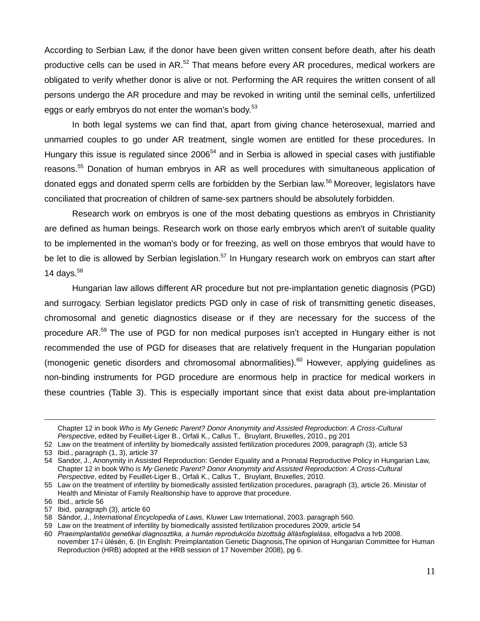According to Serbian Law, if the donor have been given written consent before death, after his death productive cells can be used in AR.<sup>52</sup> That means before every AR procedures, medical workers are obligated to verify whether donor is alive or not. Performing the AR requires the written consent of all persons undergo the AR procedure and may be revoked in writing until the seminal cells, unfertilized eggs or early embryos do not enter the woman's body.<sup>53</sup>

In both legal systems we can find that, apart from giving chance heterosexual, married and unmarried couples to go under AR treatment, single women are entitled for these procedures. In Hungary this issue is regulated since  $2006^{54}$  and in Serbia is allowed in special cases with justifiable reasons.<sup>55</sup> Donation of human embryos in AR as well procedures with simultaneous application of donated eggs and donated sperm cells are forbidden by the Serbian law.<sup>56</sup> Moreover, legislators have conciliated that procreation of children of same-sex partners should be absolutely forbidden.

Research work on embryos is one of the most debating questions as embryos in Christianity are defined as human beings. Research work on those early embryos which aren't of suitable quality to be implemented in the woman's body or for freezing, as well on those embryos that would have to be let to die is allowed by Serbian legislation.<sup>57</sup> In Hungary research work on embryos can start after 14 days. $58$ 

Hungarian law allows different AR procedure but not pre-implantation genetic diagnosis (PGD) and surrogacy. Serbian legislator predicts PGD only in case of risk of transmitting genetic diseases, chromosomal and genetic diagnostics disease or if they are necessary for the success of the procedure AR.<sup>59</sup> The use of PGD for non medical purposes isn't accepted in Hungary either is not recommended the use of PGD for diseases that are relatively frequent in the Hungarian population (monogenic genetic disorders and chromosomal abnormalities).<sup>60</sup> However, applying guidelines as non-binding instruments for PGD procedure are enormous help in practice for medical workers in these countries (Table 3). This is especially important since that exist data about pre-implantation

Chapter 12 in book *Who is My Genetic Parent? Donor Anonymity and Assisted Reproduction: A Cross-Cultural Perspective*, edited by Feuillet-Liger B., Orfali K., Callus T., Bruylant, Bruxelles, 2010., pg 201

<sup>52</sup> Law on the treatment of infertility by biomedically assisted fertilization procedures 2009, paragraph (3), article 53 53 Ibid., paragraph (1, 3), article 37

<sup>54</sup> Sandor, J., Anonymity in Assisted Reproduction: Gender Equality and a Pronatal Reproductive Policy in Hungarian Law, Chapter 12 in book Who *is My Genetic Parent? Donor Anonymity and Assisted Reproduction: A Cross-Cultural Perspective*, edited by Feuillet-Liger B., Orfali K., Callus T., Bruylant, Bruxelles, 2010.

<sup>55</sup> Law on the treatment of infertility by biomedically assisted fertilization procedures, paragraph (3), article 26. Ministar of Health and Ministar of Family Realtionship have to approve that procedure.

<sup>56</sup> Ibid., article 56

<sup>57</sup> Ibid, paragraph (3), article 60

<sup>58</sup> Sándor, J., *International Encyclopedia of Laws,* Kluwer Law International, 2003. paragraph 560.

<sup>59</sup> Law on the treatment of infertility by biomedically assisted fertilization procedures 2009, article 54

<sup>60</sup> *Praeimplantatiós genetikai diagnosztika, a humán reprodukciós bizottság állásfoglalása*, elfogadva a hrb 2008. november 17-i ülésén, 6. (In English: Preimplantation Genetic Diagnosis,The opinion of Hungarian Committee for Human Reproduction (HRB) adopted at the HRB session of 17 November 2008), pg 6.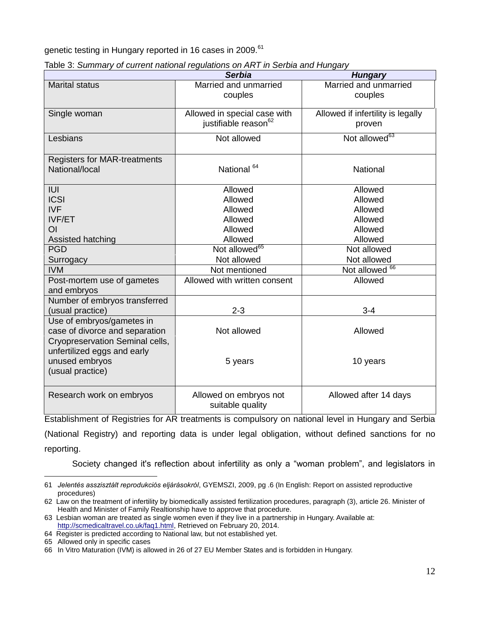genetic testing in Hungary reported in 16 cases in 2009.<sup>61</sup>

|                                                                                                | <b>Serbia</b>                                                    | <b>Hungary</b>                              |
|------------------------------------------------------------------------------------------------|------------------------------------------------------------------|---------------------------------------------|
| <b>Marital status</b>                                                                          | Married and unmarried<br>couples                                 | Married and unmarried<br>couples            |
| Single woman                                                                                   | Allowed in special case with<br>justifiable reason <sup>62</sup> | Allowed if infertility is legally<br>proven |
| Lesbians                                                                                       | Not allowed                                                      | Not allowed <sup>63</sup>                   |
| <b>Registers for MAR-treatments</b><br>National/local                                          | National <sup>64</sup>                                           | <b>National</b>                             |
| IUI                                                                                            | Allowed                                                          | Allowed                                     |
| <b>ICSI</b>                                                                                    | Allowed                                                          | Allowed                                     |
| <b>IVF</b>                                                                                     | Allowed                                                          | Allowed                                     |
| <b>IVF/ET</b>                                                                                  | Allowed                                                          | Allowed                                     |
| O <sub>l</sub>                                                                                 | Allowed                                                          | Allowed                                     |
| Assisted hatching                                                                              | Allowed                                                          | Allowed                                     |
| <b>PGD</b>                                                                                     | Not allowed <sup>65</sup>                                        | Not allowed                                 |
| Surrogacy                                                                                      | Not allowed                                                      | Not allowed                                 |
| <b>IVM</b>                                                                                     | Not mentioned                                                    | Not allowed <sup>66</sup>                   |
| Post-mortem use of gametes<br>and embryos                                                      | Allowed with written consent                                     | Allowed                                     |
| Number of embryos transferred<br>(usual practice)                                              | $2 - 3$                                                          | $3 - 4$                                     |
| Use of embryos/gametes in<br>case of divorce and separation<br>Cryopreservation Seminal cells, | Not allowed                                                      | Allowed                                     |
| unfertilized eggs and early<br>unused embryos<br>(usual practice)                              | 5 years                                                          | 10 years                                    |
| Research work on embryos                                                                       | Allowed on embryos not<br>suitable quality                       | Allowed after 14 days                       |

|  | Table 3: Summary of current national regulations on ART in Serbia and Hungary |
|--|-------------------------------------------------------------------------------|
|  |                                                                               |

Establishment of Registries for AR treatments is compulsory on national level in Hungary and Serbia (National Registry) and reporting data is under legal obligation, without defined sanctions for no reporting.

Society changed it's reflection about infertility as only a "woman problem", and legislators in

<sup>61</sup> *Jelentés asszisztált reprodukciós eljárásokról*, GYEMSZI, 2009, pg .6 (In English: Report on assisted reproductive procedures)

<sup>62</sup> Law on the treatment of infertility by biomedically assisted fertilization procedures, paragraph (3), article 26. Minister of Health and Minister of Family Realtionship have to approve that procedure.

<sup>63</sup> Lesbian woman are treated as single women even if they live in a partnership in Hungary. Available at: [http://scmedicaltravel.co.uk/faq1.html,](http://scmedicaltravel.co.uk/faq1.html) Retrieved on February 20, 2014.

<sup>64</sup> Register is predicted according to National law, but not established yet.

<sup>65</sup> Allowed only in specific cases

<sup>66</sup> In Vitro Maturation (IVM) is allowed in 26 of 27 EU Member States and is forbidden in Hungary.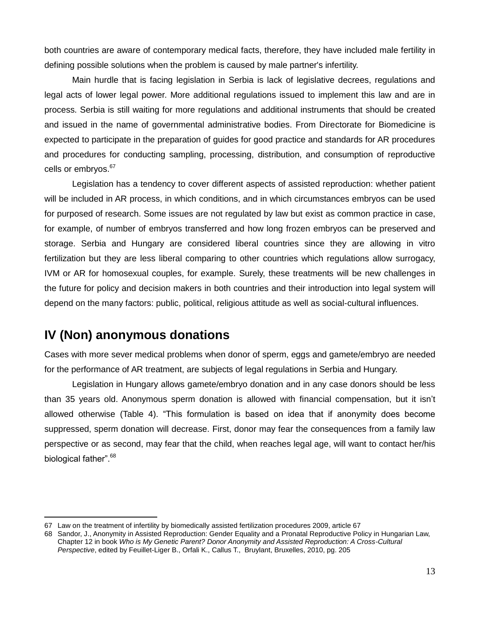both countries are aware of contemporary medical facts, therefore, they have included male fertility in defining possible solutions when the problem is caused by male partner's infertility.

Main hurdle that is facing legislation in Serbia is lack of legislative decrees, regulations and legal acts of lower legal power. More additional regulations issued to implement this law and are in process. Serbia is still waiting for more regulations and additional instruments that should be created and issued in the name of governmental administrative bodies. From Directorate for Biomedicine is expected to participate in the preparation of guides for good practice and standards for AR procedures and procedures for conducting sampling, processing, distribution, and consumption of reproductive cells or embryos.<sup>67</sup>

Legislation has a tendency to cover different aspects of assisted reproduction: whether patient will be included in AR process, in which conditions, and in which circumstances embryos can be used for purposed of research. Some issues are not regulated by law but exist as common practice in case, for example, of number of embryos transferred and how long frozen embryos can be preserved and storage. Serbia and Hungary are considered liberal countries since they are allowing in vitro fertilization but they are less liberal comparing to other countries which regulations allow surrogacy, IVM or AR for homosexual couples, for example. Surely, these treatments will be new challenges in the future for policy and decision makers in both countries and their introduction into legal system will depend on the many factors: public, political, religious attitude as well as social-cultural influences.

## **IV (Non) anonymous donations**

 $\overline{a}$ 

Cases with more sever medical problems when donor of sperm, eggs and gamete/embryo are needed for the performance of AR treatment, are subjects of legal regulations in Serbia and Hungary.

Legislation in Hungary allows gamete/embryo donation and in any case donors should be less than 35 years old. Anonymous sperm donation is allowed with financial compensation, but it isn't allowed otherwise (Table 4). "This formulation is based on idea that if anonymity does become suppressed, sperm donation will decrease. First, donor may fear the consequences from a family law perspective or as second, may fear that the child, when reaches legal age, will want to contact her/his biological father".<sup>68</sup>

<sup>67</sup> Law on the treatment of infertility by biomedically assisted fertilization procedures 2009, article 67

<sup>68</sup> Sandor, J., Anonymity in Assisted Reproduction: Gender Equality and a Pronatal Reproductive Policy in Hungarian Law, Chapter 12 in book *Who is My Genetic Parent? Donor Anonymity and Assisted Reproduction: A Cross-Cultural Perspective*, edited by Feuillet-Liger B., Orfali K., Callus T., Bruylant, Bruxelles, 2010, pg. 205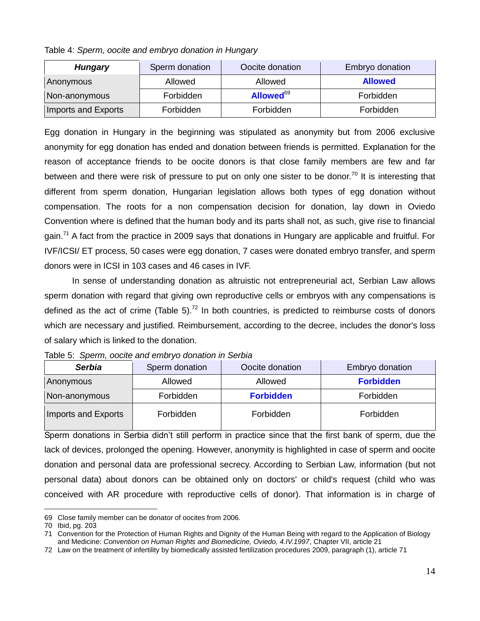|  | Table 4: Sperm, oocite and embryo donation in Hungary |  |
|--|-------------------------------------------------------|--|

| <b>Hungary</b>      | Sperm donation | Oocite donation       | Embryo donation |
|---------------------|----------------|-----------------------|-----------------|
| Anonymous           | Allowed        | Allowed               | <b>Allowed</b>  |
| Non-anonymous       | Forbidden      | Allowed <sup>69</sup> | Forbidden       |
| Imports and Exports | Forbidden      | Forbidden             | Forbidden       |

Egg donation in Hungary in the beginning was stipulated as anonymity but from 2006 exclusive anonymity for egg donation has ended and donation between friends is permitted. Explanation for the reason of acceptance friends to be oocite donors is that close family members are few and far between and there were risk of pressure to put on only one sister to be donor.<sup>70</sup> It is interesting that different from sperm donation, Hungarian legislation allows both types of egg donation without compensation. The roots for a non compensation decision for donation, lay down in Oviedo Convention where is defined that the human body and its parts shall not, as such, give rise to financial gain.<sup>71</sup> A fact from the practice in 2009 says that donations in Hungary are applicable and fruitful. For IVF/ICSI/ ET process, 50 cases were egg donation, 7 cases were donated embryo transfer, and sperm donors were in ICSI in 103 cases and 46 cases in IVF.

In sense of understanding donation as altruistic not entrepreneurial act, Serbian Law allows sperm donation with regard that giving own reproductive cells or embryos with any compensations is defined as the act of crime (Table 5).<sup>72</sup> In both countries, is predicted to reimburse costs of donors which are necessary and justified. Reimbursement, according to the decree, includes the donor's loss of salary which is linked to the donation.

| Table 5: Sperm, oocite and embryo donation in Serbia |  |  |  |  |  |  |  |  |
|------------------------------------------------------|--|--|--|--|--|--|--|--|
|------------------------------------------------------|--|--|--|--|--|--|--|--|

| <b>Serbia</b>       | Sperm donation | Oocite donation  | Embryo donation  |
|---------------------|----------------|------------------|------------------|
| Anonymous           | Allowed        | Allowed          | <b>Forbidden</b> |
| Non-anonymous       | Forbidden      | <b>Forbidden</b> | Forbidden        |
| Imports and Exports | Forbidden      | Forbidden        | Forbidden        |

Sperm donations in Serbia didn't still perform in practice since that the first bank of sperm, due the lack of devices, prolonged the opening. However, anonymity is highlighted in case of sperm and oocite donation and personal data are professional secrecy. According to Serbian Law, information (but not personal data) about donors can be obtained only on doctors' or child's request (child who was conceived with AR procedure with reproductive cells of donor). That information is in charge of

<sup>69</sup> Close family member can be donator of oocites from 2006.

<sup>70</sup> Ibid, pg. 203

<sup>71</sup> Convention for the Protection of Human Rights and Dignity of the Human Being with regard to the Application of Biology and Medicine: *Convention on Human Rights and Biomedicine, Oviedo, 4.IV.1997*, Chapter VII, article 21

<sup>72</sup> Law on the treatment of infertility by biomedically assisted fertilization procedures 2009, paragraph (1), article 71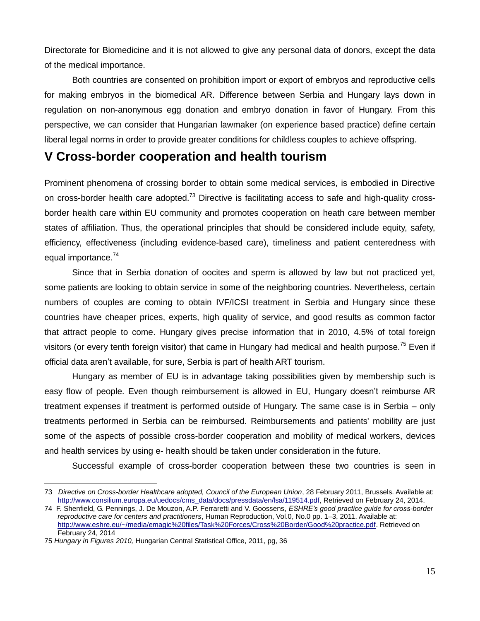Directorate for Biomedicine and it is not allowed to give any personal data of donors, except the data of the medical importance.

Both countries are consented on prohibition import or export of embryos and reproductive cells for making embryos in the biomedical AR. Difference between Serbia and Hungary lays down in regulation on non-anonymous egg donation and embryo donation in favor of Hungary. From this perspective, we can consider that Hungarian lawmaker (on experience based practice) define certain liberal legal norms in order to provide greater conditions for childless couples to achieve offspring.

## **V Cross-border cooperation and health tourism**

Prominent phenomena of crossing border to obtain some medical services, is embodied in Directive on cross-border health care adopted.<sup>73</sup> Directive is facilitating access to safe and high-quality crossborder health care within EU community and promotes cooperation on heath care between member states of affiliation. Thus, the operational principles that should be considered include equity, safety, efficiency, effectiveness (including evidence-based care), timeliness and patient centeredness with equal importance.<sup>74</sup>

Since that in Serbia donation of oocites and sperm is allowed by law but not practiced yet, some patients are looking to obtain service in some of the neighboring countries. Nevertheless, certain numbers of couples are coming to obtain IVF/ICSI treatment in Serbia and Hungary since these countries have cheaper prices, experts, high quality of service, and good results as common factor that attract people to come. Hungary gives precise information that in 2010, 4.5% of total foreign visitors (or every tenth foreign visitor) that came in Hungary had medical and health purpose.<sup>75</sup> Even if official data aren't available, for sure, Serbia is part of health ART tourism.

Hungary as member of EU is in advantage taking possibilities given by membership such is easy flow of people. Even though reimbursement is allowed in EU, Hungary doesn't reimburse AR treatment expenses if treatment is performed outside of Hungary. The same case is in Serbia – only treatments performed in Serbia can be reimbursed. Reimbursements and patients' mobility are just some of the aspects of possible cross-border cooperation and mobility of medical workers, devices and health services by using e- health should be taken under consideration in the future.

Successful example of cross-border cooperation between these two countries is seen in

<sup>73</sup> *Directive on Cross-border Healthcare adopted, Council of the European Union*, 28 February 2011, Brussels. Available at: [http://www.consilium.europa.eu/uedocs/cms\\_data/docs/pressdata/en/lsa/119514.pdf,](http://www.consilium.europa.eu/uedocs/cms_data/docs/pressdata/en/lsa/119514.pdf) Retrieved on February 24, 2014.

<sup>74</sup> F. Shenfield, G. Pennings, J. De Mouzon, A.P. Ferraretti and V. Goossens, *ESHRE's good practice guide for cross-border reproductive care for centers and practitioners*, Human Reproduction, Vol.0, No.0 pp. 1–3, 2011. Available at: [http://www.eshre.eu/~/media/emagic%20files/Task%20Forces/Cross%20Border/Good%20practice.pdf.](http://www.eshre.eu/~/media/emagic%20files/Task%20Forces/Cross%20Border/Good%20practice.pdf) Retrieved on February 24, 2014

<sup>75</sup> *Hungary in Figures 2010,* Hungarian Central Statistical Office, 2011, pg, 36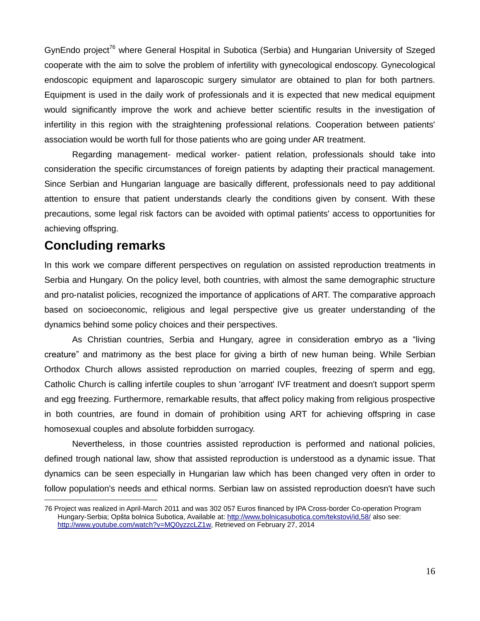GynEndo project<sup>76</sup> where General Hospital in Subotica (Serbia) and Hungarian University of Szeged cooperate with the aim to solve the problem of infertility with gynecological endoscopy. Gynecological endoscopic equipment and laparoscopic surgery simulator are obtained to plan for both partners. Equipment is used in the daily work of professionals and it is expected that new medical equipment would significantly improve the work and achieve better scientific results in the investigation of infertility in this region with the straightening professional relations. Cooperation between patients' association would be worth full for those patients who are going under AR treatment.

Regarding management- medical worker- patient relation, professionals should take into consideration the specific circumstances of foreign patients by adapting their practical management. Since Serbian and Hungarian language are basically different, professionals need to pay additional attention to ensure that patient understands clearly the conditions given by consent. With these precautions, some legal risk factors can be avoided with optimal patients' access to opportunities for achieving offspring.

#### **Concluding remarks**

 $\overline{a}$ 

In this work we compare different perspectives on regulation on assisted reproduction treatments in Serbia and Hungary. On the policy level, both countries, with almost the same demographic structure and pro-natalist policies, recognized the importance of applications of ART. The comparative approach based on socioeconomic, religious and legal perspective give us greater understanding of the dynamics behind some policy choices and their perspectives.

As Christian countries, Serbia and Hungary, agree in consideration embryo as a "living creature" and matrimony as the best place for giving a birth of new human being. While Serbian Orthodox Church allows assisted reproduction on married couples, freezing of sperm and egg, Catholic Church is calling infertile couples to shun 'arrogant' IVF treatment and doesn't support sperm and egg freezing. Furthermore, remarkable results, that affect policy making from religious prospective in both countries, are found in domain of prohibition using ART for achieving offspring in case homosexual couples and absolute forbidden surrogacy.

Nevertheless, in those countries assisted reproduction is performed and national policies, defined trough national law, show that assisted reproduction is understood as a dynamic issue. That dynamics can be seen especially in Hungarian law which has been changed very often in order to follow population's needs and ethical norms. Serbian law on assisted reproduction doesn't have such

<sup>76</sup> Project was realized in April-March 2011 and was 302 057 Euros financed by IPA Cross-border Co-operation Program Hungary-Serbia; Opšta bolnica Subotica, Available at:<http://www.bolnicasubotica.com/tekstovi/id,58/> also see: [http://www.youtube.com/watch?v=MQ0yzzcLZ1w,](http://www.youtube.com/watch?v=MQ0yzzcLZ1w) Retrieved on February 27, 2014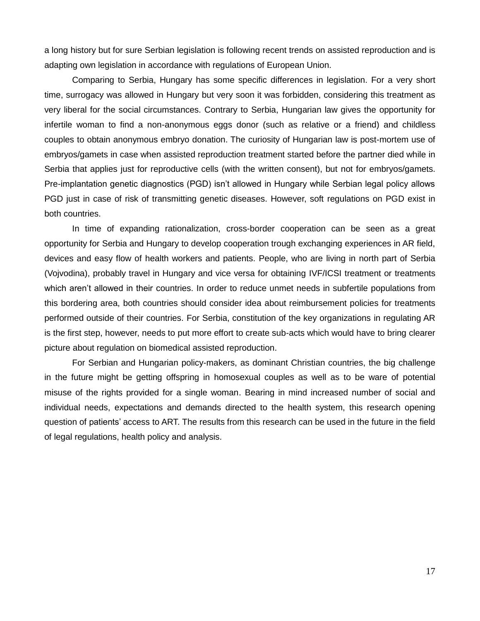a long history but for sure Serbian legislation is following recent trends on assisted reproduction and is adapting own legislation in accordance with regulations of European Union.

Comparing to Serbia, Hungary has some specific differences in legislation. For a very short time, surrogacy was allowed in Hungary but very soon it was forbidden, considering this treatment as very liberal for the social circumstances. Contrary to Serbia, Hungarian law gives the opportunity for infertile woman to find a non-anonymous eggs donor (such as relative or a friend) and childless couples to obtain anonymous embryo donation. The curiosity of Hungarian law is post-mortem use of embryos/gamets in case when assisted reproduction treatment started before the partner died while in Serbia that applies just for reproductive cells (with the written consent), but not for embryos/gamets. Pre-implantation genetic diagnostics (PGD) isn't allowed in Hungary while Serbian legal policy allows PGD just in case of risk of transmitting genetic diseases. However, soft regulations on PGD exist in both countries.

In time of expanding rationalization, cross-border cooperation can be seen as a great opportunity for Serbia and Hungary to develop cooperation trough exchanging experiences in AR field, devices and easy flow of health workers and patients. People, who are living in north part of Serbia (Vojvodina), probably travel in Hungary and vice versa for obtaining IVF/ICSI treatment or treatments which aren't allowed in their countries. In order to reduce unmet needs in subfertile populations from this bordering area, both countries should consider idea about reimbursement policies for treatments performed outside of their countries. For Serbia, constitution of the key organizations in regulating AR is the first step, however, needs to put more effort to create sub-acts which would have to bring clearer picture about regulation on biomedical assisted reproduction.

For Serbian and Hungarian policy-makers, as dominant Christian countries, the big challenge in the future might be getting offspring in homosexual couples as well as to be ware of potential misuse of the rights provided for a single woman. Bearing in mind increased number of social and individual needs, expectations and demands directed to the health system, this research opening question of patients' access to ART. The results from this research can be used in the future in the field of legal regulations, health policy and analysis.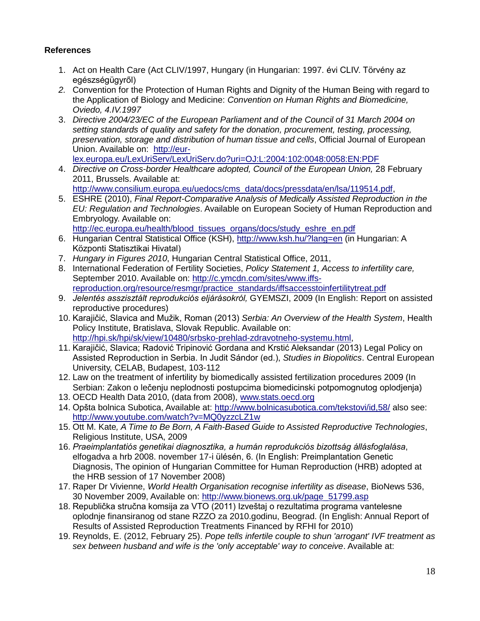#### **References**

- 1. Act on Health Care (Act CLIV/1997, Hungary (in Hungarian: 1997. évi CLIV. Törvény az egészségügyről)
- *2.* Convention for the Protection of Human Rights and Dignity of the Human Being with regard to the Application of Biology and Medicine: *Convention on Human Rights and Biomedicine, Oviedo, 4.IV.1997*
- 3. *Directive 2004/23/EC of the European Parliament and of the Council of 31 March 2004 on setting standards of quality and safety for the donation, procurement, testing, processing, preservation, storage and distribution of human tissue and cells*, Official Journal of European Union. Available on: [http://eur](http://eur-lex.europa.eu/LexUriServ/LexUriServ.do?uri=OJ:L:2004:102:0048:0058:EN:PDF)[lex.europa.eu/LexUriServ/LexUriServ.do?uri=OJ:L:2004:102:0048:0058:EN:PDF](http://eur-lex.europa.eu/LexUriServ/LexUriServ.do?uri=OJ:L:2004:102:0048:0058:EN:PDF)
- 4. *Directive on Cross-border Healthcare adopted, Council of the European Union,* 28 February 2011, Brussels. Available at: [http://www.consilium.europa.eu/uedocs/cms\\_data/docs/pressdata/en/lsa/119514.pdf,](http://www.consilium.europa.eu/uedocs/cms_data/docs/pressdata/en/lsa/119514.pdf)
- 5. ESHRE (2010), *Final Report-Comparative Analysis of Medically Assisted Reproduction in the EU: Regulation and Technologies*. Available on European Society of Human Reproduction and Embryology. Available on: [http://ec.europa.eu/health/blood\\_tissues\\_organs/docs/study\\_eshre\\_en.pdf](http://ec.europa.eu/health/blood_tissues_organs/docs/study_eshre_en.pdf)
- 6. Hungarian Central Statistical Office (KSH),<http://www.ksh.hu/?lang=en> (in Hungarian: A Központi Statisztikai Hivatal)
- 7. *Hungary in Figures 2010*, Hungarian Central Statistical Office, 2011,
- 8. International Federation of Fertility Societies, *Policy Statement 1, Access to infertility care,* September 2010. Available on: [http://c.ymcdn.com/sites/www.iffs](http://c.ymcdn.com/sites/www.iffs-reproduction.org/resource/resmgr/practice_standards/iffsaccesstoinfertilitytreat.pdf)[reproduction.org/resource/resmgr/practice\\_standards/iffsaccesstoinfertilitytreat.pdf](http://c.ymcdn.com/sites/www.iffs-reproduction.org/resource/resmgr/practice_standards/iffsaccesstoinfertilitytreat.pdf)
- 9. *Jelentés asszisztált reprodukciós eljárásokról,* GYEMSZI, 2009 (In English: Report on assisted reproductive procedures)
- 10. Karajičić, Slavica and Mužik, Roman (2013) *Serbia: An Overview of the Health System*, Health Policy Institute, Bratislava, Slovak Republic. Available on: [http://hpi.sk/hpi/sk/view/10480/srbsko-prehlad-zdravotneho-systemu.html,](http://hpi.sk/hpi/sk/view/10480/srbsko-prehlad-zdravotneho-systemu.html)
- 11. Karajičić, Slavica; Radović Tripinović Gordana and Krstić Aleksandar (2013) Legal Policy on Assisted Reproduction in Serbia. In Judit Sándor (ed.), *Studies in Biopolitics*. Central European University, CELAB, Budapest, 103-112
- 12. Law on the treatment of infertility by biomedically assisted fertilization procedures 2009 (In Serbian: Zakon o lečenju neplodnosti postupcima biomedicinski potpomognutog oplodjenja)
- 13. OECD Health Data 2010, (data from 2008), [www.stats.oecd.org](http://www.stats.oecd.org/)
- 14. Opšta bolnica Subotica, Available at:<http://www.bolnicasubotica.com/tekstovi/id,58/> also see: <http://www.youtube.com/watch?v=MQ0yzzcLZ1w>
- 15. Ott M. Kate*, A Time to Be Born, A Faith-Based Guide to Assisted Reproductive Technologies*, Religious Institute, USA, 2009
- 16. *Praeimplantatiós genetikai diagnosztika, a humán reprodukciós bizottság állásfoglalása*, elfogadva a hrb 2008. november 17-i ülésén, 6. (In English: Preimplantation Genetic Diagnosis, The opinion of Hungarian Committee for Human Reproduction (HRB) adopted at the HRB session of 17 November 2008)
- 17. Raper Dr Vivienne, *World Health Organisation recognise infertility as disease*, BioNews 536, 30 November 2009, Available on: [http://www.bionews.org.uk/page\\_51799.asp](http://www.bionews.org.uk/page_51799.asp)
- 18. Republička stručna komsija za VTO (2011) Izveštaj o rezultatima programa vantelesne oplodnje finansiranog od stane RZZO za 2010.godinu, Beograd. (In English: Annual Report of Results of Assisted Reproduction Treatments Financed by RFHI for 2010)
- 19. Reynolds, E. (2012, February 25). *Pope tells infertile couple to shun 'arrogant' IVF treatment as sex between husband and wife is the 'only acceptable' way to conceive*. Available at: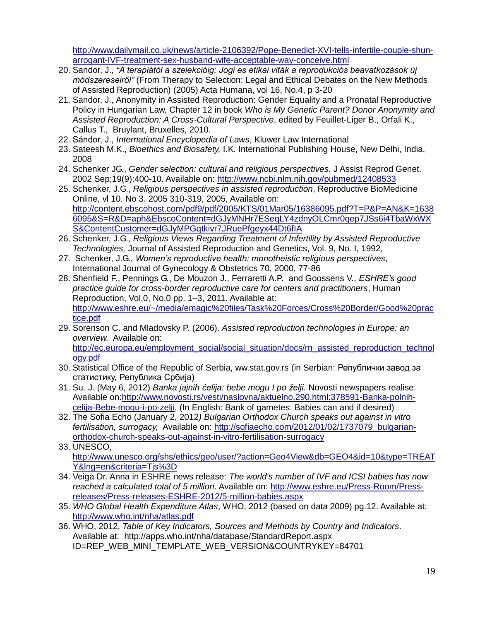[http://www.dailymail.co.uk/news/article-2106392/Pope-Benedict-XVI-tells-infertile-couple-shun](http://www.dailymail.co.uk/news/article-2106392/Pope-Benedict-XVI-tells-infertile-couple-shun-arrogant-IVF-treatment-sex-husband-wife-acceptable-way-conceive.html)[arrogant-IVF-treatment-sex-husband-wife-acceptable-way-conceive.html](http://www.dailymail.co.uk/news/article-2106392/Pope-Benedict-XVI-tells-infertile-couple-shun-arrogant-IVF-treatment-sex-husband-wife-acceptable-way-conceive.html)

- 20. Sandor, J., *"A terapiátόl a szelekcióig: Jogi es etikai viták a reprodukciós beavatkozások új módszereseiről"* (From Therapy to Selection: Legal and Ethical Debates on the New Methods of Assisted Reproduction) (2005) Acta Humana, vol 16, No.4, p 3-20
- 21. Sandor, J., Anonymity in Assisted Reproduction: Gender Equality and a Pronatal Reproductive Policy in Hungarian Law, Chapter 12 in book *Who is My Genetic Parent? Donor Anonymity and Assisted Reproduction: A Cross-Cultural Perspective*, edited by Feuillet-Liger B., Orfali K., Callus T., Bruylant, Bruxelles, 2010.
- 22. Sándor, J., *International Encyclopedia of Laws*, Kluwer Law International
- 23. Sateesh M.K., *Bioethics and Biosafety,* I.K. International Publishing House, New Delhi, India, 2008
- 24. Schenker JG., *Gender selection: cultural and religious perspectives*. J Assist Reprod Genet. 2002 Sep;19(9):400-10. Available on:<http://www.ncbi.nlm.nih.gov/pubmed/12408533>
- 25. Schenker, J.G., *Religious perspectives in assisted reproduction*, Reproductive BioMedicine Online, vl 10. No 3. 2005 310-319, 2005, Available on: [http://content.ebscohost.com/pdf9/pdf/2005/KTS/01Mar05/16386095.pdf?T=P&P=AN&K=1638](http://content.ebscohost.com/pdf9/pdf/2005/KTS/01Mar05/16386095.pdf?T=P&P=AN&K=16386095&S=R&D=aph&EbscoContent=dGJyMNHr7ESeqLY4zdnyOLCmr0qep7JSs6i4TbaWxWXS&ContentCustomer=dGJyMPGqtkivr7JRuePfgeyx44Dt6fIA) [6095&S=R&D=aph&EbscoContent=dGJyMNHr7ESeqLY4zdnyOLCmr0qep7JSs6i4TbaWxWX](http://content.ebscohost.com/pdf9/pdf/2005/KTS/01Mar05/16386095.pdf?T=P&P=AN&K=16386095&S=R&D=aph&EbscoContent=dGJyMNHr7ESeqLY4zdnyOLCmr0qep7JSs6i4TbaWxWXS&ContentCustomer=dGJyMPGqtkivr7JRuePfgeyx44Dt6fIA) [S&ContentCustomer=dGJyMPGqtkivr7JRuePfgeyx44Dt6fIA](http://content.ebscohost.com/pdf9/pdf/2005/KTS/01Mar05/16386095.pdf?T=P&P=AN&K=16386095&S=R&D=aph&EbscoContent=dGJyMNHr7ESeqLY4zdnyOLCmr0qep7JSs6i4TbaWxWXS&ContentCustomer=dGJyMPGqtkivr7JRuePfgeyx44Dt6fIA)
- 26. Schenker, J.G., *Religious Views Regarding Treatment of Infertility by Assisted Reproductive Technologies,* Journal of Assisted Reproduction and Genetics, Vol. 9, No. I, 1992,
- 27. Schenker, J.G., *Women's reproductive health: monotheistic religious perspectives*, International Journal of Gynecology & Obstetrics 70, 2000, 77-86
- 28. Shenfield F., Pennings G., De Mouzon J., Ferraretti A.P. and Goossens V., *ESHRE's good practice guide for cross-border reproductive care for centers and practitioners*, Human Reproduction, Vol.0, No.0 pp. 1–3, 2011. Available at: [http://www.eshre.eu/~/media/emagic%20files/Task%20Forces/Cross%20Border/Good%20prac](http://www.eshre.eu/~/media/emagic%20files/Task%20Forces/Cross%20Border/Good%20practice.pdf) [tice.pdf](http://www.eshre.eu/~/media/emagic%20files/Task%20Forces/Cross%20Border/Good%20practice.pdf)
- 29. Sorenson C. and Mladovsky P. (2006). *Assisted reproduction technologies in Europe: an overview.* Available on: [http://ec.europa.eu/employment\\_social/social\\_situation/docs/rn\\_assisted\\_reproduction\\_technol](http://ec.europa.eu/employment_social/social_situation/docs/rn_assisted_reproduction_technology.pdf) [ogy.pdf](http://ec.europa.eu/employment_social/social_situation/docs/rn_assisted_reproduction_technology.pdf)
- 30. Statistical Office of the Republic of Serbia, ww.stat.gov.rs (in Serbian: Републички завод за статистику, Република Србија)
- 31. Su. J. (May 6, 2012) *Banka jajnih ćelija: bebe mogu I po želji*. Novosti newspapers realise. Available on[:http://www.novosti.rs/vesti/naslovna/aktuelno.290.html:378591-Banka-polnih](http://www.novosti.rs/vesti/naslovna/aktuelno.290.html:378591-Banka-polnih-celija-Bebe-mogu-i-po-zelji)[celija-Bebe-mogu-i-po-zelji,](http://www.novosti.rs/vesti/naslovna/aktuelno.290.html:378591-Banka-polnih-celija-Bebe-mogu-i-po-zelji) (In English: Bank of gametes: Babies can and if desired)
- 32. The Sofia Echo (January 2, 2012*) Bulgarian Orthodox Church speaks out against in vitro*  fertilisation, surrogacy, Available on: [http://sofiaecho.com/2012/01/02/1737079\\_bulgarian](http://sofiaecho.com/2012/01/02/1737079_bulgarian-orthodox-church-speaks-out-against-in-vitro-fertilisation-surrogacy)[orthodox-church-speaks-out-against-in-vitro-fertilisation-surrogacy](http://sofiaecho.com/2012/01/02/1737079_bulgarian-orthodox-church-speaks-out-against-in-vitro-fertilisation-surrogacy)
- 33. UNESCO, [http://www.unesco.org/shs/ethics/geo/user/?action=Geo4View&db=GEO4&id=10&type=TREAT](http://www.unesco.org/shs/ethics/geo/user/?action=Geo4View&db=GEO4&id=10&type=TREATY&lng=en&criteria=Tjs%3D) Y&Ing=en&criteria=Tis%3D
- 34. Veiga Dr. Anna in ESHRE news release: *The world's number of IVF and ICSI babies has now reached a calculated total of 5 million*. Available on: [http://www.eshre.eu/Press-Room/Press](http://www.eshre.eu/Press-Room/Press-releases/Press-releases-ESHRE-2012/5-million-babies.aspx)[releases/Press-releases-ESHRE-2012/5-million-babies.aspx](http://www.eshre.eu/Press-Room/Press-releases/Press-releases-ESHRE-2012/5-million-babies.aspx)
- 35. *WHO Global Health Expenditure Atlas*, WHO, 2012 (based on data 2009) pg.12. Available at: <http://www.who.int/nha/atlas.pdf>
- 36. WHO, 2012, *Table of Key Indicators, Sources and Methods by Country and Indicators*. Available at: http://apps.who.int/nha/database/StandardReport.aspx ID=REP\_WEB\_MINI\_TEMPLATE\_WEB\_VERSION&COUNTRYKEY=84701